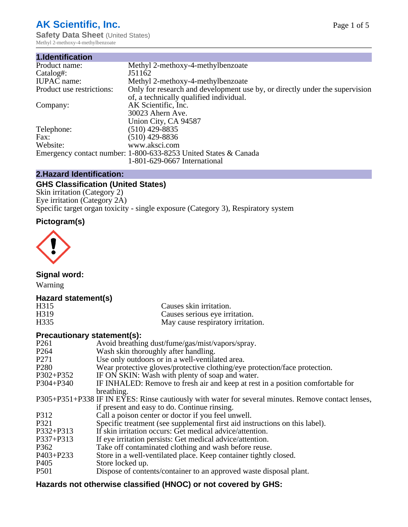# **AK Scientific, Inc.**

**Safety Data Sheet (United States)** Methyl 2-methoxy-4-methylbenzoate

| 1.Identification          |                                                                             |
|---------------------------|-----------------------------------------------------------------------------|
| Product name:             | Methyl 2-methoxy-4-methylbenzoate                                           |
| Catalog#:                 | J51162                                                                      |
| <b>IUPAC</b> name:        | Methyl 2-methoxy-4-methylbenzoate                                           |
| Product use restrictions: | Only for research and development use by, or directly under the supervision |
|                           | of, a technically qualified individual.                                     |
| Company:                  | AK Scientific, Inc.                                                         |
|                           | 30023 Ahern Ave.                                                            |
|                           | Union City, CA 94587                                                        |
| Telephone:                | $(510)$ 429-8835                                                            |
| Fax:                      | $(510)$ 429-8836                                                            |
| Website:                  | www.aksci.com                                                               |
|                           | Emergency contact number: 1-800-633-8253 United States & Canada             |
|                           | 1-801-629-0667 International                                                |

## **2.Hazard Identification:**

# **GHS Classification (United States)**

Skin irritation (Category 2) Eye irritation (Category 2A) Specific target organ toxicity - single exposure (Category 3), Respiratory system

# **Pictogram(s)**



**Signal word:**

Warning

## **Hazard statement(s)**

| H315              | Causes skin irritation.           |
|-------------------|-----------------------------------|
| H <sub>3</sub> 19 | Causes serious eye irritation.    |
| H335              | May cause respiratory irritation. |

#### **Precautionary statement(s):**

| P <sub>261</sub> | Avoid breathing dust/fume/gas/mist/vapors/spray.                                                   |
|------------------|----------------------------------------------------------------------------------------------------|
| P <sub>264</sub> | Wash skin thoroughly after handling.                                                               |
| P <sub>271</sub> | Use only outdoors or in a well-ventilated area.                                                    |
| P <sub>280</sub> | Wear protective gloves/protective clothing/eye protection/face protection.                         |
| P302+P352        | IF ON SKIN: Wash with plenty of soap and water.                                                    |
| $P304 + P340$    | IF INHALED: Remove to fresh air and keep at rest in a position comfortable for                     |
|                  | breathing.                                                                                         |
|                  | P305+P351+P338 IF IN EYES: Rinse cautiously with water for several minutes. Remove contact lenses, |
|                  | if present and easy to do. Continue rinsing.                                                       |
| P312             | Call a poison center or doctor if you feel unwell.                                                 |
| P321             | Specific treatment (see supplemental first aid instructions on this label).                        |
| P332+P313        | If skin irritation occurs: Get medical advice/attention.                                           |
| P337+P313        | If eye irritation persists: Get medical advice/attention.                                          |
| P362             | Take off contaminated clothing and wash before reuse.                                              |
| $P403 + P233$    | Store in a well-ventilated place. Keep container tightly closed.                                   |
| P <sub>405</sub> | Store locked up.                                                                                   |
| P <sub>501</sub> | Dispose of contents/container to an approved waste disposal plant.                                 |
|                  |                                                                                                    |

# **Hazards not otherwise classified (HNOC) or not covered by GHS:**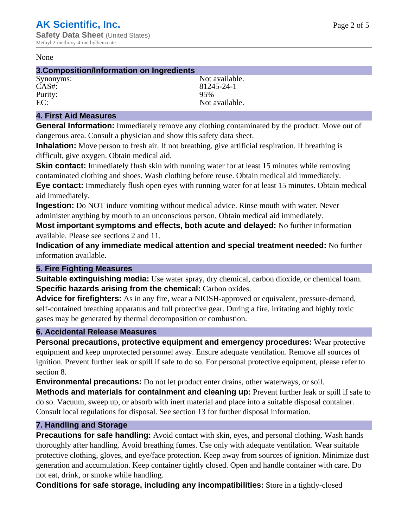#### None

#### **3.Composition/Information on Ingredients**

Purity:<br>EC:

Synonyms: Not available. CAS#: 81245-24-1<br>Purity: 95% 95% Not available.

## **4. First Aid Measures**

**General Information:** Immediately remove any clothing contaminated by the product. Move out of dangerous area. Consult a physician and show this safety data sheet.

**Inhalation:** Move person to fresh air. If not breathing, give artificial respiration. If breathing is difficult, give oxygen. Obtain medical aid.

**Skin contact:** Immediately flush skin with running water for at least 15 minutes while removing contaminated clothing and shoes. Wash clothing before reuse. Obtain medical aid immediately. **Eye contact:** Immediately flush open eyes with running water for at least 15 minutes. Obtain medical aid immediately.

**Ingestion:** Do NOT induce vomiting without medical advice. Rinse mouth with water. Never administer anything by mouth to an unconscious person. Obtain medical aid immediately.

**Most important symptoms and effects, both acute and delayed:** No further information available. Please see sections 2 and 11.

**Indication of any immediate medical attention and special treatment needed:** No further information available.

#### **5. Fire Fighting Measures**

**Suitable extinguishing media:** Use water spray, dry chemical, carbon dioxide, or chemical foam. **Specific hazards arising from the chemical:** Carbon oxides.

**Advice for firefighters:** As in any fire, wear a NIOSH-approved or equivalent, pressure-demand, self-contained breathing apparatus and full protective gear. During a fire, irritating and highly toxic gases may be generated by thermal decomposition or combustion.

#### **6. Accidental Release Measures**

**Personal precautions, protective equipment and emergency procedures:** Wear protective equipment and keep unprotected personnel away. Ensure adequate ventilation. Remove all sources of ignition. Prevent further leak or spill if safe to do so. For personal protective equipment, please refer to section 8.

**Environmental precautions:** Do not let product enter drains, other waterways, or soil.

**Methods and materials for containment and cleaning up:** Prevent further leak or spill if safe to do so. Vacuum, sweep up, or absorb with inert material and place into a suitable disposal container. Consult local regulations for disposal. See section 13 for further disposal information.

#### **7. Handling and Storage**

**Precautions for safe handling:** Avoid contact with skin, eyes, and personal clothing. Wash hands thoroughly after handling. Avoid breathing fumes. Use only with adequate ventilation. Wear suitable protective clothing, gloves, and eye/face protection. Keep away from sources of ignition. Minimize dust generation and accumulation. Keep container tightly closed. Open and handle container with care. Do not eat, drink, or smoke while handling.

**Conditions for safe storage, including any incompatibilities:** Store in a tightly-closed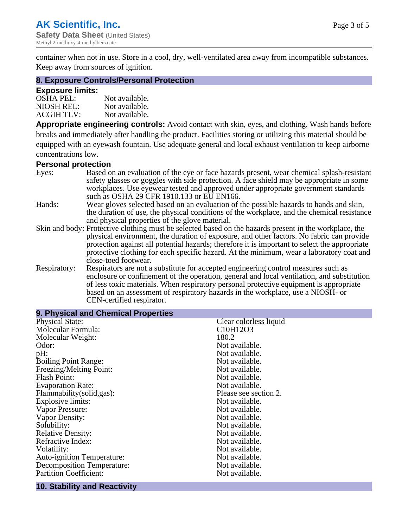container when not in use. Store in a cool, dry, well-ventilated area away from incompatible substances. Keep away from sources of ignition.

#### **8. Exposure Controls/Personal Protection**

#### **Exposure limits:**

| <b>OSHA PEL:</b>  | Not available. |
|-------------------|----------------|
| NIOSH REL:        | Not available. |
| <b>ACGIH TLV:</b> | Not available. |

**Appropriate engineering controls:** Avoid contact with skin, eyes, and clothing. Wash hands before breaks and immediately after handling the product. Facilities storing or utilizing this material should be equipped with an eyewash fountain. Use adequate general and local exhaust ventilation to keep airborne concentrations low.

#### **Personal protection**

| Eyes:        | Based on an evaluation of the eye or face hazards present, wear chemical splash-resistant<br>safety glasses or goggles with side protection. A face shield may be appropriate in some |
|--------------|---------------------------------------------------------------------------------------------------------------------------------------------------------------------------------------|
|              | workplaces. Use eyewear tested and approved under appropriate government standards<br>such as OSHA 29 CFR 1910.133 or EU EN166.                                                       |
| Hands:       | Wear gloves selected based on an evaluation of the possible hazards to hands and skin,                                                                                                |
|              | the duration of use, the physical conditions of the workplace, and the chemical resistance                                                                                            |
|              | and physical properties of the glove material.                                                                                                                                        |
|              | Skin and body: Protective clothing must be selected based on the hazards present in the workplace, the                                                                                |
|              | physical environment, the duration of exposure, and other factors. No fabric can provide                                                                                              |
|              | protection against all potential hazards; therefore it is important to select the appropriate                                                                                         |
|              | protective clothing for each specific hazard. At the minimum, wear a laboratory coat and                                                                                              |
|              | close-toed footwear.                                                                                                                                                                  |
| Respiratory: | Respirators are not a substitute for accepted engineering control measures such as<br>enclosure or confinement of the operation, general and local ventilation, and substitution      |
|              | of less toxic materials. When respiratory personal protective equipment is appropriate                                                                                                |
|              | based on an assessment of respiratory hazards in the workplace, use a NIOSH- or                                                                                                       |
|              | CEN-certified respirator.                                                                                                                                                             |

| 9. Physical and Chemical Properties |                                                |
|-------------------------------------|------------------------------------------------|
| <b>Physical State:</b>              | Clear colorless liquid                         |
| Molecular Formula:                  | C <sub>10</sub> H <sub>12</sub> O <sub>3</sub> |
| Molecular Weight:                   | 180.2                                          |
| Odor:                               | Not available.                                 |
| pH:                                 | Not available.                                 |
| <b>Boiling Point Range:</b>         | Not available.                                 |
| Freezing/Melting Point:             | Not available.                                 |
| <b>Flash Point:</b>                 | Not available.                                 |
| <b>Evaporation Rate:</b>            | Not available.                                 |
| Flammability(solid,gas):            | Please see section 2.                          |
| Explosive limits:                   | Not available.                                 |
| Vapor Pressure:                     | Not available.                                 |
| Vapor Density:                      | Not available.                                 |
| Solubility:                         | Not available.                                 |
| <b>Relative Density:</b>            | Not available.                                 |
| Refractive Index:                   | Not available.                                 |
| Volatility:                         | Not available.                                 |
| <b>Auto-ignition Temperature:</b>   | Not available.                                 |
| <b>Decomposition Temperature:</b>   | Not available.                                 |
| <b>Partition Coefficient:</b>       | Not available.                                 |
|                                     |                                                |

## **10. Stability and Reactivity**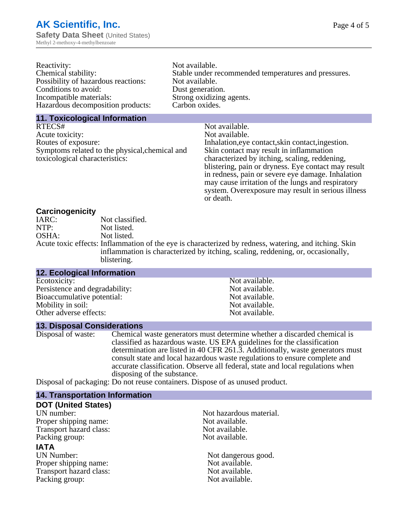| Reactivity:                         | Not available.                                       |
|-------------------------------------|------------------------------------------------------|
| Chemical stability:                 | Stable under recommended temperatures and pressures. |
| Possibility of hazardous reactions: | Not available.                                       |
| Conditions to avoid:                | Dust generation.                                     |
| Incompatible materials:             | Strong oxidizing agents.                             |
| Hazardous decomposition products:   | Carbon oxides.                                       |
|                                     |                                                      |

#### **11. Toxicological Information**

| Not available.                                      |
|-----------------------------------------------------|
| Not available.                                      |
| Inhalation, eye contact, skin contact, ingestion.   |
| Skin contact may result in inflammation             |
| characterized by itching, scaling, reddening,       |
| blistering, pain or dryness. Eye contact may result |
| in redness, pain or severe eye damage. Inhalation   |
| may cause irritation of the lungs and respiratory   |
| system. Overexposure may result in serious illness  |
|                                                     |

or death.

#### **Carcinogenicity**

| IARC: | Not classified.                                                                                       |
|-------|-------------------------------------------------------------------------------------------------------|
| NTP:  | Not listed.                                                                                           |
| OSHA: | Not listed.                                                                                           |
|       | Acute toxic effects: Inflammation of the eye is characterized by redness, watering, and itching. Skin |
|       | inflammation is characterized by itching, scaling, reddening, or, occasionally,                       |
|       | blistering.                                                                                           |

| <b>12. Ecological Information</b> |                |  |
|-----------------------------------|----------------|--|
| Ecotoxicity:                      | Not available. |  |
| Persistence and degradability:    | Not available. |  |
| Bioaccumulative potential:        | Not available. |  |
| Mobility in soil:                 | Not available. |  |
| Other adverse effects:            | Not available. |  |

#### **13. Disposal Considerations**

Disposal of waste: Chemical waste generators must determine whether a discarded chemical is classified as hazardous waste. US EPA guidelines for the classification determination are listed in 40 CFR 261.3. Additionally, waste generators must consult state and local hazardous waste regulations to ensure complete and accurate classification. Observe all federal, state and local regulations when disposing of the substance.

Disposal of packaging: Do not reuse containers. Dispose of as unused product.

| <b>14. Transportation Information</b> |                         |
|---------------------------------------|-------------------------|
| <b>DOT (United States)</b>            |                         |
| UN number:                            | Not hazardous material. |
| Proper shipping name:                 | Not available.          |
| Transport hazard class:               | Not available.          |
| Packing group:                        | Not available.          |
| <b>IATA</b>                           |                         |
| UN Number:                            | Not dangerous good.     |
| Proper shipping name:                 | Not available.          |
| Transport hazard class:               | Not available.          |
| Packing group:                        | Not available.          |
|                                       |                         |